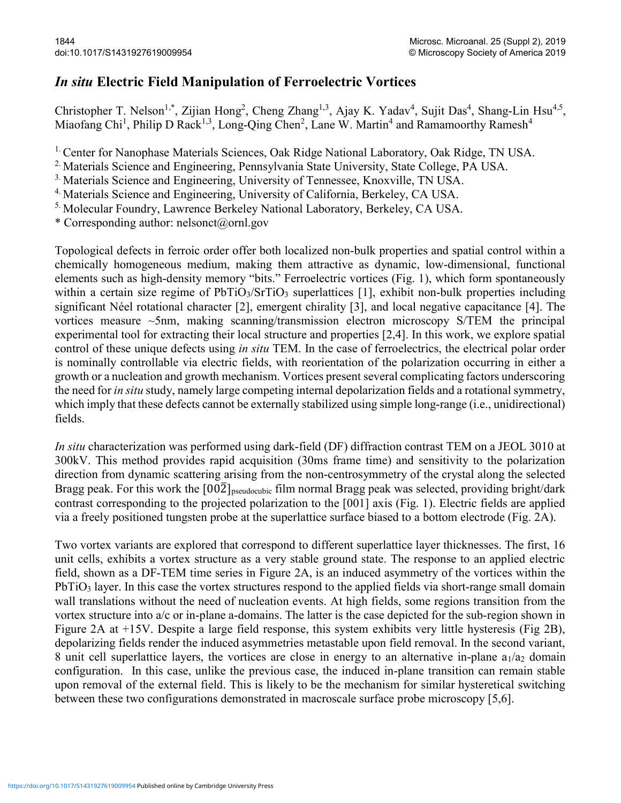## In situ Electric Field Manipulation of Ferroelectric Vortices

Christopher T. Nelson<sup>1,\*</sup>, Zijian Hong<sup>2</sup>, Cheng Zhang<sup>1,3</sup>, Ajay K. Yadav<sup>4</sup>, Sujit Das<sup>4</sup>, Shang-Lin Hsu<sup>4,5</sup>, Miaofang Chi<sup>1</sup>, Philip D Rack<sup>1,3</sup>, Long-Qing Chen<sup>2</sup>, Lane W. Martin<sup>4</sup> and Ramamoorthy Ramesh<sup>4</sup>

<sup>1.</sup> Center for Nanophase Materials Sciences, Oak Ridge National Laboratory, Oak Ridge, TN USA.

<sup>2.</sup> Materials Science and Engineering, Pennsylvania State University, State College, PA USA.

<sup>3.</sup> Materials Science and Engineering, University of Tennessee, Knoxville, TN USA.

<sup>4.</sup> Materials Science and Engineering, University of California, Berkeley, CA USA.

5. Molecular Foundry, Lawrence Berkeley National Laboratory, Berkeley, CA USA.

\* Corresponding author: nelsonct@ornl.gov

Topological defects in ferroic order offer both localized non-bulk properties and spatial control within a chemically homogeneous medium, making them attractive as dynamic, low-dimensional, functional elements such as high-density memory "bits." Ferroelectric vortices (Fig. 1), which form spontaneously within a certain size regime of PbTiO<sub>3</sub>/SrTiO<sub>3</sub> superlattices [1], exhibit non-bulk properties including significant Néel rotational character [2], emergent chirality [3], and local negative capacitance [4]. The vortices measure ~5nm, making scanning/transmission electron microscopy S/TEM the principal experimental tool for extracting their local structure and properties [2,4]. In this work, we explore spatial control of these unique defects using *in situ* TEM. In the case of ferroelectrics, the electrical polar order is nominally controllable via electric fields, with reorientation of the polarization occurring in either a growth or a nucleation and growth mechanism. Vortices present several complicating factors underscoring the need for in situ study, namely large competing internal depolarization fields and a rotational symmetry, which imply that these defects cannot be externally stabilized using simple long-range (i.e., unidirectional) fields.

In situ characterization was performed using dark-field (DF) diffraction contrast TEM on a JEOL 3010 at 300kV. This method provides rapid acquisition (30ms frame time) and sensitivity to the polarization direction from dynamic scattering arising from the non-centrosymmetry of the crystal along the selected Bragg peak. For this work the  $[00\overline{2}]_{pseudocubic}$  film normal Bragg peak was selected, providing bright/dark contrast corresponding to the projected polarization to the [001] axis (Fig. 1). Electric fields are applied via a freely positioned tungsten probe at the superlattice surface biased to a bottom electrode (Fig. 2A).

Two vortex variants are explored that correspond to different superlattice layer thicknesses. The first, 16 unit cells, exhibits a vortex structure as a very stable ground state. The response to an applied electric field, shown as a DF-TEM time series in Figure 2A, is an induced asymmetry of the vortices within the PbTiO<sub>3</sub> layer. In this case the vortex structures respond to the applied fields via short-range small domain wall translations without the need of nucleation events. At high fields, some regions transition from the vortex structure into a/c or in-plane a-domains. The latter is the case depicted for the sub-region shown in Figure 2A at +15V. Despite a large field response, this system exhibits very little hysteresis (Fig 2B), depolarizing fields render the induced asymmetries metastable upon field removal. In the second variant, 8 unit cell superlattice layers, the vortices are close in energy to an alternative in-plane  $a_1/a_2$  domain configuration. In this case, unlike the previous case, the induced in-plane transition can remain stable upon removal of the external field. This is likely to be the mechanism for similar hysteretical switching between these two configurations demonstrated in macroscale surface probe microscopy [5,6].